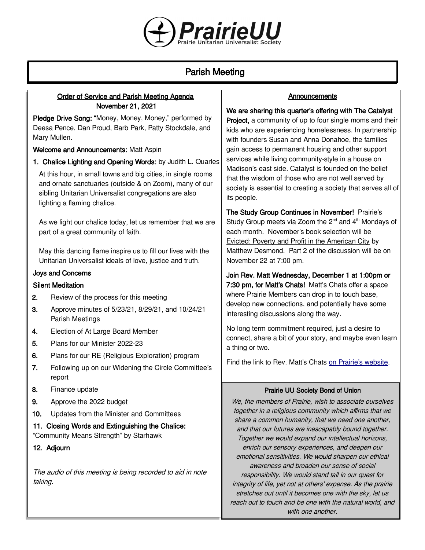

# Parish Meeting

# Order of Service and Parish Meeting Agenda November 21, 2021

Pledge Drive Song: "Money, Money, Money," performed by Deesa Pence, Dan Proud, Barb Park, Patty Stockdale, and Mary Mullen.

Welcome and Announcements: Matt Aspin

1. Chalice Lighting and Opening Words: by Judith L. Quarles

At this hour, in small towns and big cities, in single rooms and ornate sanctuaries (outside & on Zoom), many of our sibling Unitarian Universalist congregations are also lighting a flaming chalice.

As we light our chalice today, let us remember that we are part of a great community of faith.

May this dancing flame inspire us to fill our lives with the Unitarian Universalist ideals of love, justice and truth.

# Joys and Concerns

## Silent Meditation

- 2. Review of the process for this meeting
- 3. Approve minutes of 5/23/21, 8/29/21, and 10/24/21 Parish Meetings
- 4. Election of At Large Board Member
- 5. Plans for our Minister 2022-23
- 6. Plans for our RE (Religious Exploration) program
- 7. Following up on our Widening the Circle Committee's report
- 8. Finance update
- 9. Approve the 2022 budget
- 10. Updates from the Minister and Committees
- 11. Closing Words and Extinguishing the Chalice: "Community Means Strength" by Starhawk
- 12. Adjourn

The audio of this meeting is being recorded to aid in note taking.

# **Announcements**

We are sharing this quarter's offering with The Catalyst **Project, a community of up to four single moms and their** kids who are experiencing homelessness. In partnership with founders Susan and Anna Donahoe, the families gain access to permanent housing and other support services while living community-style in a house on Madison's east side. Catalyst is founded on the belief that the wisdom of those who are not well served by society is essential to creating a society that serves all of its people.

The Study Group Continues in November! Prairie's Study Group meets via Zoom the  $2^{nd}$  and  $4^{th}$  Mondays of each month. November's book selection will be Evicted: Poverty and Profit in the American City by Matthew Desmond. Part 2 of the discussion will be on November 22 at 7:00 pm.

Join Rev. Matt Wednesday, December 1 at 1:00pm or 7:30 pm, for Matt's Chats! Matt's Chats offer a space where Prairie Members can drop in to touch base, develop new connections, and potentially have some interesting discussions along the way.

No long term commitment required, just a desire to connect, share a bit of your story, and maybe even learn a thing or two.

Find the link to Rev. Matt's Chats [on Prairie's website](https://uuprairie.org/).

# Prairie UU Society Bond of Union

We, the members of Prairie, wish to associate ourselves together in a religious community which affirms that we share a common humanity, that we need one another, and that our futures are inescapably bound together. Together we would expand our intellectual horizons, enrich our sensory experiences, and deepen our emotional sensitivities. We would sharpen our ethical awareness and broaden our sense of social responsibility. We would stand tall in our quest for integrity of life, yet not at others' expense. As the prairie stretches out until it becomes one with the sky, let us reach out to touch and be one with the natural world, and with one another.